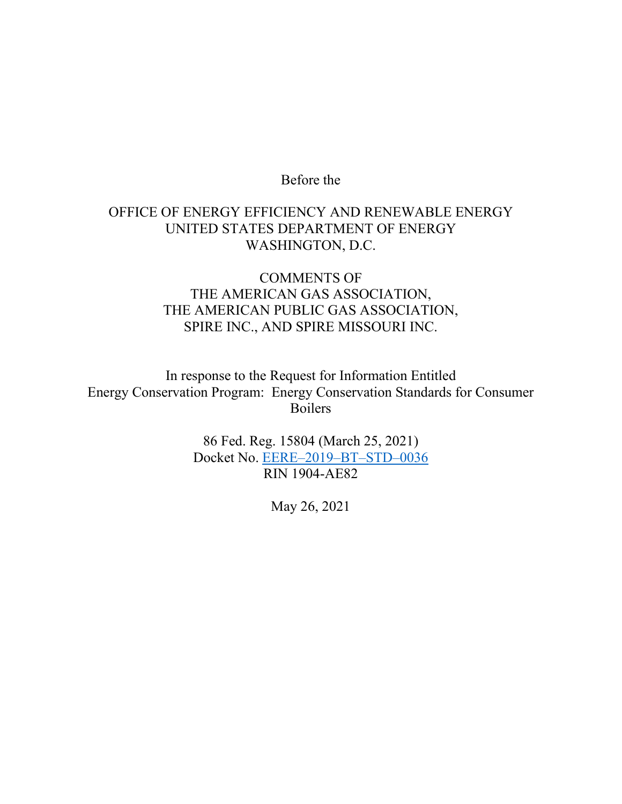# Before the

# OFFICE OF ENERGY EFFICIENCY AND RENEWABLE ENERGY UNITED STATES DEPARTMENT OF ENERGY WASHINGTON, D.C.

# COMMENTS OF THE AMERICAN GAS ASSOCIATION, THE AMERICAN PUBLIC GAS ASSOCIATION, SPIRE INC., AND SPIRE MISSOURI INC.

In response to the Request for Information Entitled Energy Conservation Program: Energy Conservation Standards for Consumer Boilers

> 86 Fed. Reg. 15804 (March 25, 2021) Docket No. [EERE–2019–BT–STD–0036](https://www.regulations.gov/docket/EERE-2019-BT-STD-0036) RIN 1904-AE82

> > May 26, 2021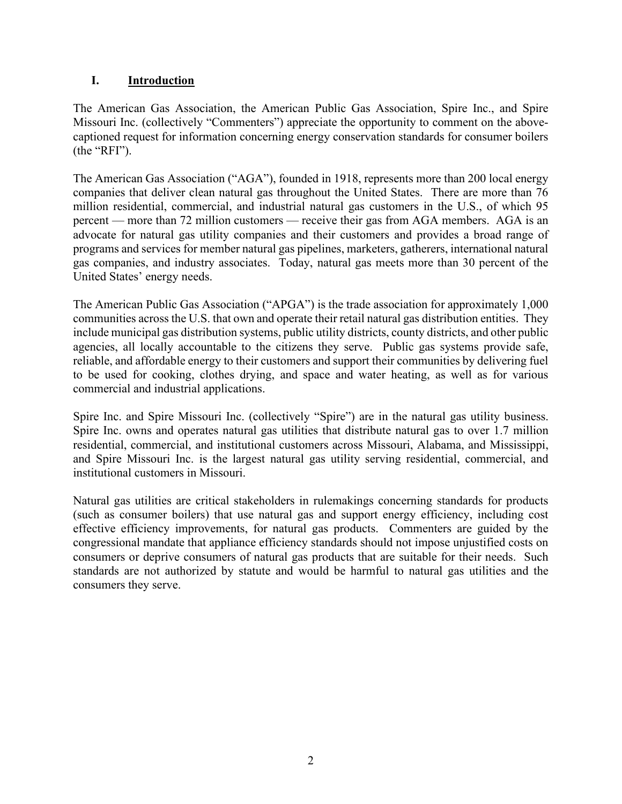# **I. Introduction**

The American Gas Association, the American Public Gas Association, Spire Inc., and Spire Missouri Inc. (collectively "Commenters") appreciate the opportunity to comment on the abovecaptioned request for information concerning energy conservation standards for consumer boilers (the "RFI").

The American Gas Association ("AGA"), founded in 1918, represents more than 200 local energy companies that deliver clean natural gas throughout the United States. There are more than 76 million residential, commercial, and industrial natural gas customers in the U.S., of which 95 percent — more than 72 million customers — receive their gas from AGA members. AGA is an advocate for natural gas utility companies and their customers and provides a broad range of programs and services for member natural gas pipelines, marketers, gatherers, international natural gas companies, and industry associates. Today, natural gas meets more than 30 percent of the United States' energy needs.

The American Public Gas Association ("APGA") is the trade association for approximately 1,000 communities across the U.S. that own and operate their retail natural gas distribution entities. They include municipal gas distribution systems, public utility districts, county districts, and other public agencies, all locally accountable to the citizens they serve. Public gas systems provide safe, reliable, and affordable energy to their customers and support their communities by delivering fuel to be used for cooking, clothes drying, and space and water heating, as well as for various commercial and industrial applications.

Spire Inc. and Spire Missouri Inc. (collectively "Spire") are in the natural gas utility business. Spire Inc. owns and operates natural gas utilities that distribute natural gas to over 1.7 million residential, commercial, and institutional customers across Missouri, Alabama, and Mississippi, and Spire Missouri Inc. is the largest natural gas utility serving residential, commercial, and institutional customers in Missouri.

Natural gas utilities are critical stakeholders in rulemakings concerning standards for products (such as consumer boilers) that use natural gas and support energy efficiency, including cost effective efficiency improvements, for natural gas products. Commenters are guided by the congressional mandate that appliance efficiency standards should not impose unjustified costs on consumers or deprive consumers of natural gas products that are suitable for their needs. Such standards are not authorized by statute and would be harmful to natural gas utilities and the consumers they serve.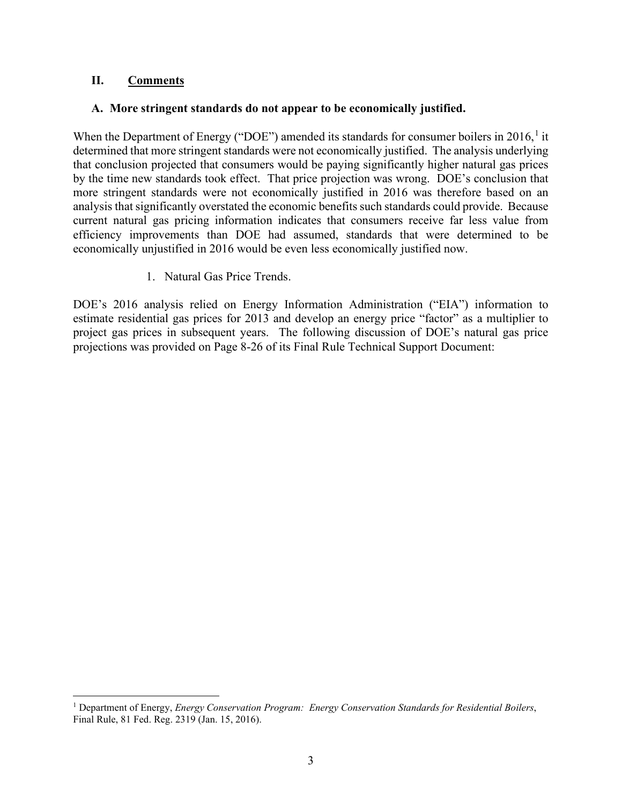## **II. Comments**

## **A. More stringent standards do not appear to be economically justified.**

When the Department of Energy ("DOE") amended its standards for consumer boilers in  $2016$  $2016$  $2016$ ,<sup>1</sup> it determined that more stringent standards were not economically justified. The analysis underlying that conclusion projected that consumers would be paying significantly higher natural gas prices by the time new standards took effect. That price projection was wrong. DOE's conclusion that more stringent standards were not economically justified in 2016 was therefore based on an analysis that significantly overstated the economic benefits such standards could provide. Because current natural gas pricing information indicates that consumers receive far less value from efficiency improvements than DOE had assumed, standards that were determined to be economically unjustified in 2016 would be even less economically justified now.

1. Natural Gas Price Trends.

DOE's 2016 analysis relied on Energy Information Administration ("EIA") information to estimate residential gas prices for 2013 and develop an energy price "factor" as a multiplier to project gas prices in subsequent years. The following discussion of DOE's natural gas price projections was provided on Page 8-26 of its Final Rule Technical Support Document:

<span id="page-2-0"></span><sup>1</sup> Department of Energy, *Energy Conservation Program: Energy Conservation Standards for Residential Boilers*, Final Rule, 81 Fed. Reg. 2319 (Jan. 15, 2016).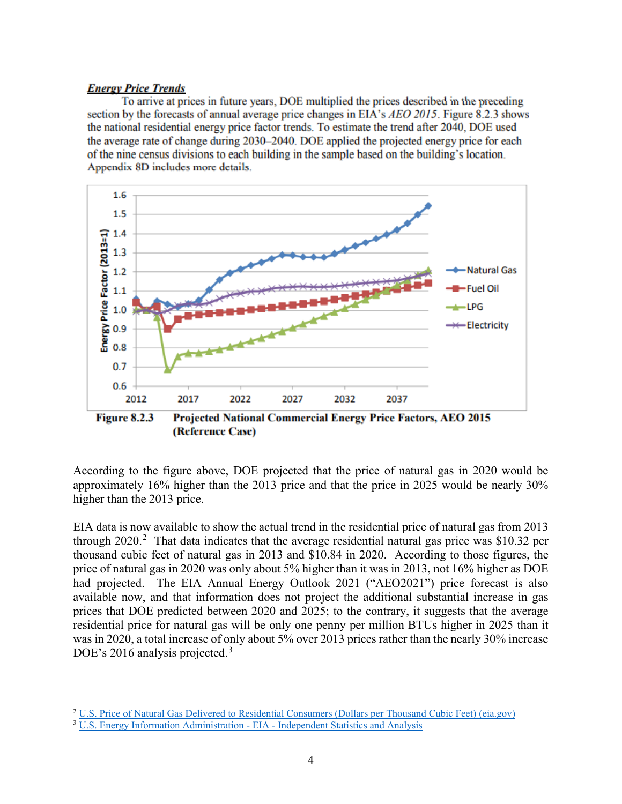#### **Energy Price Trends**

To arrive at prices in future years, DOE multiplied the prices described in the preceding section by the forecasts of annual average price changes in EIA's AEO 2015. Figure 8.2.3 shows the national residential energy price factor trends. To estimate the trend after 2040, DOE used the average rate of change during 2030–2040. DOE applied the projected energy price for each of the nine census divisions to each building in the sample based on the building's location. Appendix 8D includes more details.



(Reference Case)

According to the figure above, DOE projected that the price of natural gas in 2020 would be approximately 16% higher than the 2013 price and that the price in 2025 would be nearly 30% higher than the 2013 price.

EIA data is now available to show the actual trend in the residential price of natural gas from 2013 through [2](#page-3-0)020.<sup>2</sup> That data indicates that the average residential natural gas price was \$10.32 per thousand cubic feet of natural gas in 2013 and \$10.84 in 2020. According to those figures, the price of natural gas in 2020 was only about 5% higher than it was in 2013, not 16% higher as DOE had projected. The EIA Annual Energy Outlook 2021 ("AEO2021") price forecast is also available now, and that information does not project the additional substantial increase in gas prices that DOE predicted between 2020 and 2025; to the contrary, it suggests that the average residential price for natural gas will be only one penny per million BTUs higher in 2025 than it was in 2020, a total increase of only about 5% over 2013 prices rather than the nearly 30% increase DOE's 2016 analysis projected.<sup>[3](#page-3-1)</sup>

<span id="page-3-0"></span><sup>&</sup>lt;sup>2</sup> [U.S. Price of Natural Gas Delivered to Residential Consumers \(Dollars per Thousand Cubic Feet\) \(eia.gov\)](https://www.eia.gov/dnav/ng/hist/n3010us3a.htm)

<span id="page-3-1"></span><sup>3</sup> [U.S. Energy Information Administration -](https://www.eia.gov/outlooks/aeo/data/browser/#/?id=3-AEO2021®ion=1-0&cases=ref2021&start=2019&end=2050&f=A&linechart=%7Eref2021-d113020a.5-3-AEO2021.1-0&map=ref2021-d113020a.4-3-AEO2021.1-0&ctype=linechart&sourcekey=0) EIA - Independent Statistics and Analysis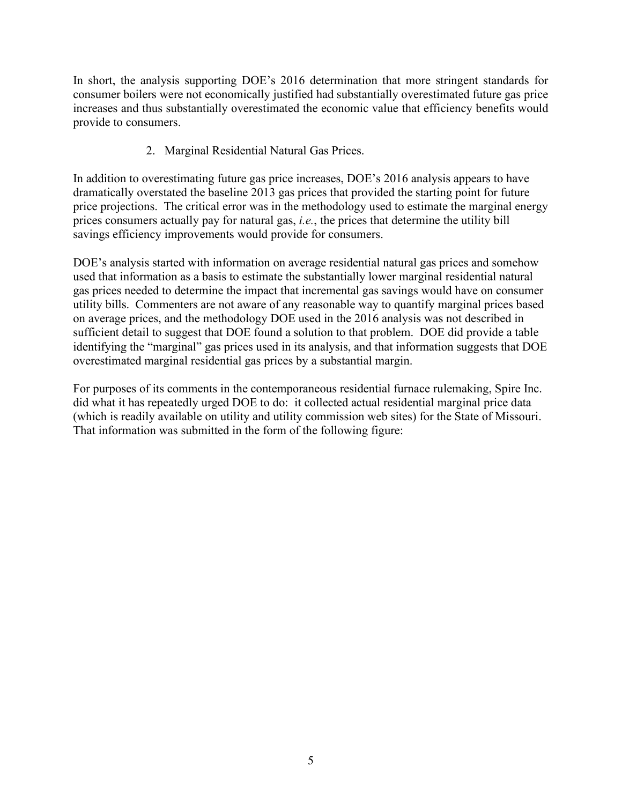In short, the analysis supporting DOE's 2016 determination that more stringent standards for consumer boilers were not economically justified had substantially overestimated future gas price increases and thus substantially overestimated the economic value that efficiency benefits would provide to consumers.

2. Marginal Residential Natural Gas Prices.

In addition to overestimating future gas price increases, DOE's 2016 analysis appears to have dramatically overstated the baseline 2013 gas prices that provided the starting point for future price projections. The critical error was in the methodology used to estimate the marginal energy prices consumers actually pay for natural gas, *i.e.*, the prices that determine the utility bill savings efficiency improvements would provide for consumers.

DOE's analysis started with information on average residential natural gas prices and somehow used that information as a basis to estimate the substantially lower marginal residential natural gas prices needed to determine the impact that incremental gas savings would have on consumer utility bills. Commenters are not aware of any reasonable way to quantify marginal prices based on average prices, and the methodology DOE used in the 2016 analysis was not described in sufficient detail to suggest that DOE found a solution to that problem. DOE did provide a table identifying the "marginal" gas prices used in its analysis, and that information suggests that DOE overestimated marginal residential gas prices by a substantial margin.

For purposes of its comments in the contemporaneous residential furnace rulemaking, Spire Inc. did what it has repeatedly urged DOE to do: it collected actual residential marginal price data (which is readily available on utility and utility commission web sites) for the State of Missouri. That information was submitted in the form of the following figure: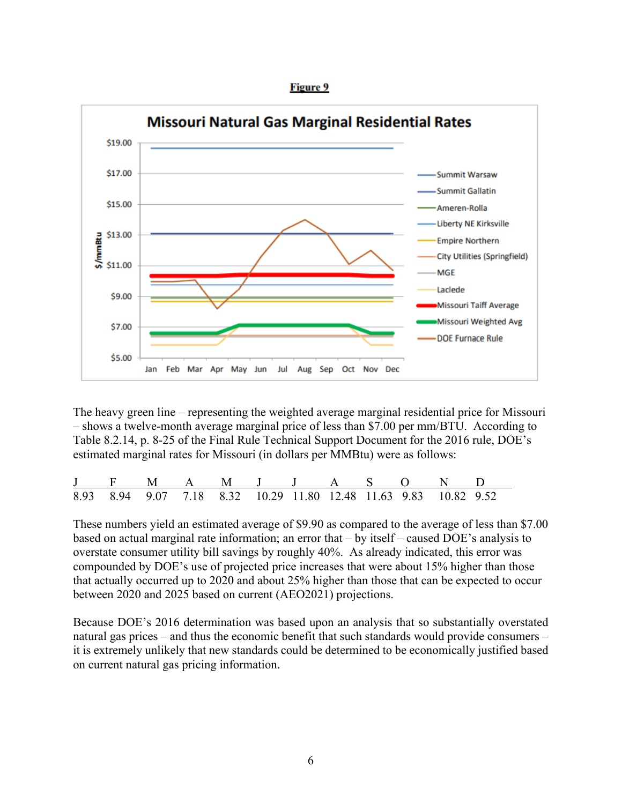



The heavy green line – representing the weighted average marginal residential price for Missouri – shows a twelve-month average marginal price of less than \$7.00 per mm/BTU. According to Table 8.2.14, p. 8-25 of the Final Rule Technical Support Document for the 2016 rule, DOE's estimated marginal rates for Missouri (in dollars per MMBtu) were as follows:

|  | J F M A M J J A S O N D                                          |  |  |  |  |  |
|--|------------------------------------------------------------------|--|--|--|--|--|
|  | 8.93 8.94 9.07 7.18 8.32 10.29 11.80 12.48 11.63 9.83 10.82 9.52 |  |  |  |  |  |

These numbers yield an estimated average of \$9.90 as compared to the average of less than \$7.00 based on actual marginal rate information; an error that – by itself – caused DOE's analysis to overstate consumer utility bill savings by roughly 40%. As already indicated, this error was compounded by DOE's use of projected price increases that were about 15% higher than those that actually occurred up to 2020 and about 25% higher than those that can be expected to occur between 2020 and 2025 based on current (AEO2021) projections.

Because DOE's 2016 determination was based upon an analysis that so substantially overstated natural gas prices – and thus the economic benefit that such standards would provide consumers – it is extremely unlikely that new standards could be determined to be economically justified based on current natural gas pricing information.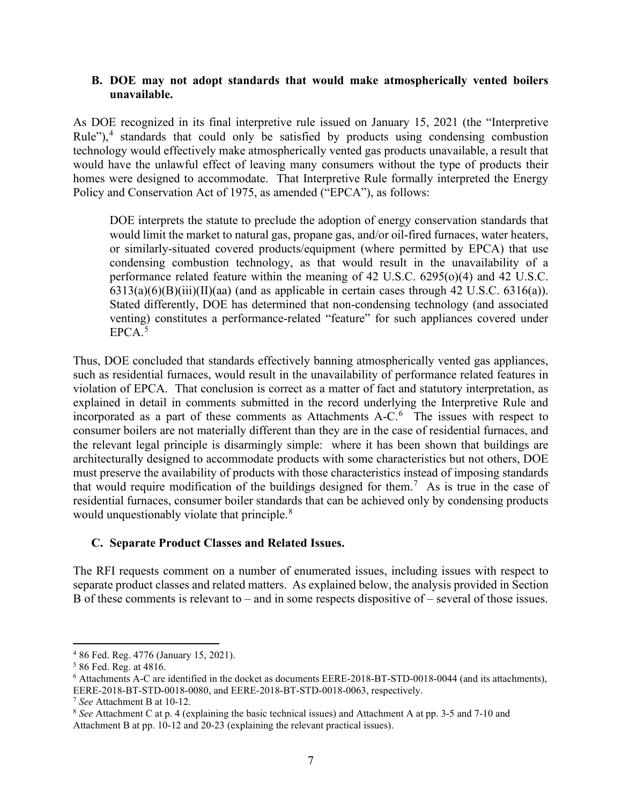## **B. DOE may not adopt standards that would make atmospherically vented boilers unavailable.**

As DOE recognized in its final interpretive rule issued on January 15, 2021 (the "Interpretive Rule"),<sup>[4](#page-6-0)</sup> standards that could only be satisfied by products using condensing combustion technology would effectively make atmospherically vented gas products unavailable, a result that would have the unlawful effect of leaving many consumers without the type of products their homes were designed to accommodate. That Interpretive Rule formally interpreted the Energy Policy and Conservation Act of 1975, as amended ("EPCA"), as follows:

DOE interprets the statute to preclude the adoption of energy conservation standards that would limit the market to natural gas, propane gas, and/or oil-fired furnaces, water heaters, or similarly-situated covered products/equipment (where permitted by EPCA) that use condensing combustion technology, as that would result in the unavailability of a performance related feature within the meaning of 42 U.S.C. 6295(o)(4) and 42 U.S.C.  $6313(a)(6)(B)(iii)(II)(aa)$  (and as applicable in certain cases through 42 U.S.C. 6316(a)). Stated differently, DOE has determined that non-condensing technology (and associated venting) constitutes a performance-related "feature" for such appliances covered under  $EPCA<sup>5</sup>$  $EPCA<sup>5</sup>$  $EPCA<sup>5</sup>$ 

Thus, DOE concluded that standards effectively banning atmospherically vented gas appliances, such as residential furnaces, would result in the unavailability of performance related features in violation of EPCA. That conclusion is correct as a matter of fact and statutory interpretation, as explained in detail in comments submitted in the record underlying the Interpretive Rule and incorporated as a part of these comments as Attachments A-C. [6](#page-6-2) The issues with respect to consumer boilers are not materially different than they are in the case of residential furnaces, and the relevant legal principle is disarmingly simple: where it has been shown that buildings are architecturally designed to accommodate products with some characteristics but not others, DOE must preserve the availability of products with those characteristics instead of imposing standards that would require modification of the buildings designed for them.<sup>[7](#page-6-3)</sup> As is true in the case of residential furnaces, consumer boiler standards that can be achieved only by condensing products would unquestionably violate that principle. $8<sup>8</sup>$  $8<sup>8</sup>$ 

## **C. Separate Product Classes and Related Issues.**

The RFI requests comment on a number of enumerated issues, including issues with respect to separate product classes and related matters. As explained below, the analysis provided in Section B of these comments is relevant to – and in some respects dispositive of – several of those issues.

<span id="page-6-0"></span><sup>4</sup> 86 Fed. Reg. 4776 (January 15, 2021).

<span id="page-6-1"></span><sup>5</sup> 86 Fed. Reg. at 4816.

<span id="page-6-2"></span><sup>6</sup> Attachments A-C are identified in the docket as documents EERE-2018-BT-STD-0018-0044 (and its attachments), EERE-2018-BT-STD-0018-0080, and EERE-2018-BT-STD-0018-0063, respectively.

<span id="page-6-3"></span><sup>7</sup> *See* Attachment B at 10-12.

<span id="page-6-4"></span><sup>8</sup> *See* Attachment C at p. 4 (explaining the basic technical issues) and Attachment A at pp. 3-5 and 7-10 and Attachment B at pp. 10-12 and 20-23 (explaining the relevant practical issues).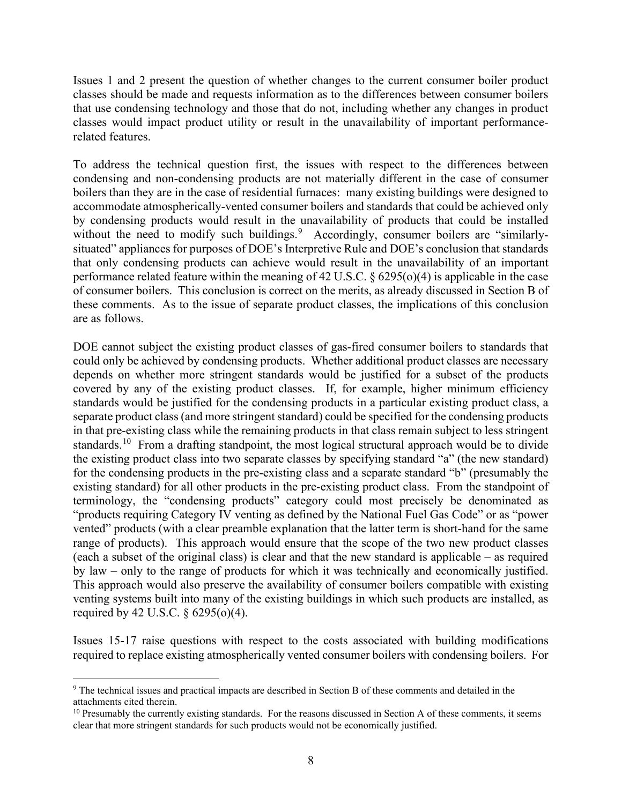Issues 1 and 2 present the question of whether changes to the current consumer boiler product classes should be made and requests information as to the differences between consumer boilers that use condensing technology and those that do not, including whether any changes in product classes would impact product utility or result in the unavailability of important performancerelated features.

To address the technical question first, the issues with respect to the differences between condensing and non-condensing products are not materially different in the case of consumer boilers than they are in the case of residential furnaces: many existing buildings were designed to accommodate atmospherically-vented consumer boilers and standards that could be achieved only by condensing products would result in the unavailability of products that could be installed without the need to modify such buildings.<sup>[9](#page-7-0)</sup> Accordingly, consumer boilers are "similarlysituated" appliances for purposes of DOE's Interpretive Rule and DOE's conclusion that standards that only condensing products can achieve would result in the unavailability of an important performance related feature within the meaning of 42 U.S.C. § 6295(o)(4) is applicable in the case of consumer boilers. This conclusion is correct on the merits, as already discussed in Section B of these comments. As to the issue of separate product classes, the implications of this conclusion are as follows.

DOE cannot subject the existing product classes of gas-fired consumer boilers to standards that could only be achieved by condensing products. Whether additional product classes are necessary depends on whether more stringent standards would be justified for a subset of the products covered by any of the existing product classes. If, for example, higher minimum efficiency standards would be justified for the condensing products in a particular existing product class, a separate product class (and more stringent standard) could be specified for the condensing products in that pre-existing class while the remaining products in that class remain subject to less stringent standards.<sup>[10](#page-7-1)</sup> From a drafting standpoint, the most logical structural approach would be to divide the existing product class into two separate classes by specifying standard "a" (the new standard) for the condensing products in the pre-existing class and a separate standard "b" (presumably the existing standard) for all other products in the pre-existing product class. From the standpoint of terminology, the "condensing products" category could most precisely be denominated as "products requiring Category IV venting as defined by the National Fuel Gas Code" or as "power vented" products (with a clear preamble explanation that the latter term is short-hand for the same range of products). This approach would ensure that the scope of the two new product classes (each a subset of the original class) is clear and that the new standard is applicable – as required by law – only to the range of products for which it was technically and economically justified. This approach would also preserve the availability of consumer boilers compatible with existing venting systems built into many of the existing buildings in which such products are installed, as required by 42 U.S.C. § 6295(o)(4).

Issues 15-17 raise questions with respect to the costs associated with building modifications required to replace existing atmospherically vented consumer boilers with condensing boilers. For

<span id="page-7-0"></span><sup>9</sup> The technical issues and practical impacts are described in Section B of these comments and detailed in the attachments cited therein.

<span id="page-7-1"></span><sup>&</sup>lt;sup>10</sup> Presumably the currently existing standards. For the reasons discussed in Section A of these comments, it seems clear that more stringent standards for such products would not be economically justified.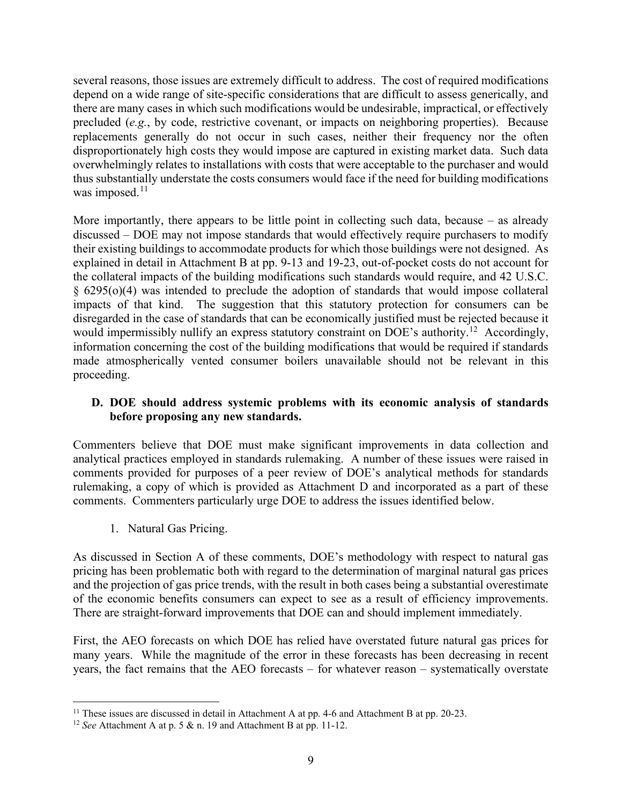several reasons, those issues are extremely difficult to address. The cost of required modifications depend on a wide range of site-specific considerations that are difficult to assess generically, and there are many cases in which such modifications would be undesirable, impractical, or effectively precluded (*e.g.*, by code, restrictive covenant, or impacts on neighboring properties). Because replacements generally do not occur in such cases, neither their frequency nor the often disproportionately high costs they would impose are captured in existing market data. Such data overwhelmingly relates to installations with costs that were acceptable to the purchaser and would thus substantially understate the costs consumers would face if the need for building modifications was imposed. $11$ 

More importantly, there appears to be little point in collecting such data, because – as already discussed – DOE may not impose standards that would effectively require purchasers to modify their existing buildings to accommodate products for which those buildings were not designed. As explained in detail in Attachment B at pp. 9-13 and 19-23, out-of-pocket costs do not account for the collateral impacts of the building modifications such standards would require, and 42 U.S.C. § 6295(o)(4) was intended to preclude the adoption of standards that would impose collateral impacts of that kind. The suggestion that this statutory protection for consumers can be disregarded in the case of standards that can be economically justified must be rejected because it would impermissibly nullify an express statutory constraint on DOE's authority.<sup>[12](#page-8-1)</sup> Accordingly, information concerning the cost of the building modifications that would be required if standards made atmospherically vented consumer boilers unavailable should not be relevant in this proceeding.

## **D. DOE should address systemic problems with its economic analysis of standards before proposing any new standards.**

Commenters believe that DOE must make significant improvements in data collection and analytical practices employed in standards rulemaking. A number of these issues were raised in comments provided for purposes of a peer review of DOE's analytical methods for standards rulemaking, a copy of which is provided as Attachment D and incorporated as a part of these comments. Commenters particularly urge DOE to address the issues identified below.

1. Natural Gas Pricing.

As discussed in Section A of these comments, DOE's methodology with respect to natural gas pricing has been problematic both with regard to the determination of marginal natural gas prices and the projection of gas price trends, with the result in both cases being a substantial overestimate of the economic benefits consumers can expect to see as a result of efficiency improvements. There are straight-forward improvements that DOE can and should implement immediately.

First, the AEO forecasts on which DOE has relied have overstated future natural gas prices for many years. While the magnitude of the error in these forecasts has been decreasing in recent years, the fact remains that the AEO forecasts – for whatever reason – systematically overstate

<span id="page-8-0"></span><sup>&</sup>lt;sup>11</sup> These issues are discussed in detail in Attachment A at pp. 4-6 and Attachment B at pp. 20-23.

<span id="page-8-1"></span><sup>12</sup> *See* Attachment A at p. 5 & n. 19 and Attachment B at pp. 11-12.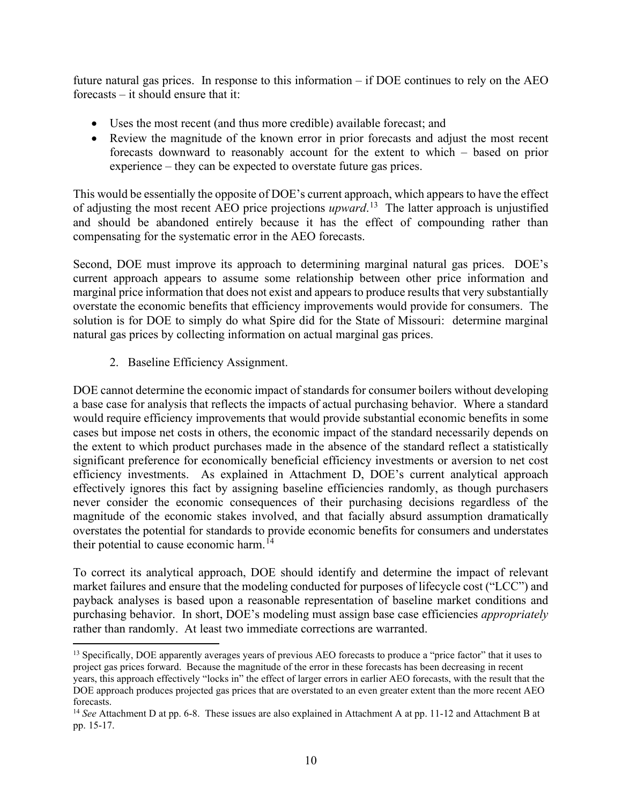future natural gas prices. In response to this information – if DOE continues to rely on the AEO forecasts – it should ensure that it:

- Uses the most recent (and thus more credible) available forecast; and
- Review the magnitude of the known error in prior forecasts and adjust the most recent forecasts downward to reasonably account for the extent to which – based on prior experience – they can be expected to overstate future gas prices.

This would be essentially the opposite of DOE's current approach, which appears to have the effect of adjusting the most recent AEO price projections *upward*. [13](#page-9-0) The latter approach is unjustified and should be abandoned entirely because it has the effect of compounding rather than compensating for the systematic error in the AEO forecasts.

Second, DOE must improve its approach to determining marginal natural gas prices. DOE's current approach appears to assume some relationship between other price information and marginal price information that does not exist and appears to produce results that very substantially overstate the economic benefits that efficiency improvements would provide for consumers. The solution is for DOE to simply do what Spire did for the State of Missouri: determine marginal natural gas prices by collecting information on actual marginal gas prices.

2. Baseline Efficiency Assignment.

DOE cannot determine the economic impact of standards for consumer boilers without developing a base case for analysis that reflects the impacts of actual purchasing behavior. Where a standard would require efficiency improvements that would provide substantial economic benefits in some cases but impose net costs in others, the economic impact of the standard necessarily depends on the extent to which product purchases made in the absence of the standard reflect a statistically significant preference for economically beneficial efficiency investments or aversion to net cost efficiency investments. As explained in Attachment D, DOE's current analytical approach effectively ignores this fact by assigning baseline efficiencies randomly, as though purchasers never consider the economic consequences of their purchasing decisions regardless of the magnitude of the economic stakes involved, and that facially absurd assumption dramatically overstates the potential for standards to provide economic benefits for consumers and understates their potential to cause economic harm.<sup>[14](#page-9-1)</sup>

To correct its analytical approach, DOE should identify and determine the impact of relevant market failures and ensure that the modeling conducted for purposes of lifecycle cost ("LCC") and payback analyses is based upon a reasonable representation of baseline market conditions and purchasing behavior. In short, DOE's modeling must assign base case efficiencies *appropriately* rather than randomly. At least two immediate corrections are warranted.

<span id="page-9-0"></span><sup>&</sup>lt;sup>13</sup> Specifically, DOE apparently averages years of previous AEO forecasts to produce a "price factor" that it uses to project gas prices forward. Because the magnitude of the error in these forecasts has been decreasing in recent years, this approach effectively "locks in" the effect of larger errors in earlier AEO forecasts, with the result that the DOE approach produces projected gas prices that are overstated to an even greater extent than the more recent AEO forecasts.

<span id="page-9-1"></span><sup>&</sup>lt;sup>14</sup> See Attachment D at pp. 6-8. These issues are also explained in Attachment A at pp. 11-12 and Attachment B at pp. 15-17.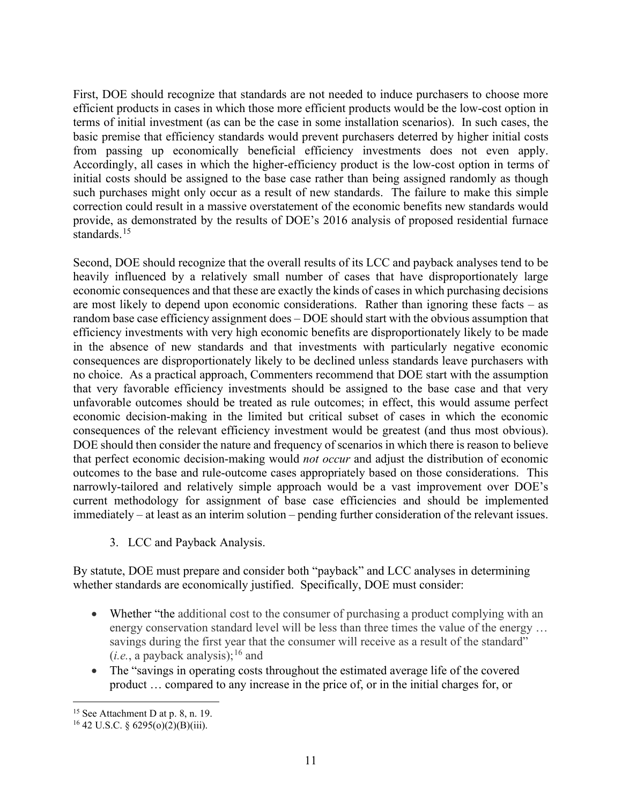First, DOE should recognize that standards are not needed to induce purchasers to choose more efficient products in cases in which those more efficient products would be the low-cost option in terms of initial investment (as can be the case in some installation scenarios). In such cases, the basic premise that efficiency standards would prevent purchasers deterred by higher initial costs from passing up economically beneficial efficiency investments does not even apply. Accordingly, all cases in which the higher-efficiency product is the low-cost option in terms of initial costs should be assigned to the base case rather than being assigned randomly as though such purchases might only occur as a result of new standards. The failure to make this simple correction could result in a massive overstatement of the economic benefits new standards would provide, as demonstrated by the results of DOE's 2016 analysis of proposed residential furnace standards.<sup>[15](#page-10-0)</sup>

Second, DOE should recognize that the overall results of its LCC and payback analyses tend to be heavily influenced by a relatively small number of cases that have disproportionately large economic consequences and that these are exactly the kinds of cases in which purchasing decisions are most likely to depend upon economic considerations. Rather than ignoring these facts – as random base case efficiency assignment does – DOE should start with the obvious assumption that efficiency investments with very high economic benefits are disproportionately likely to be made in the absence of new standards and that investments with particularly negative economic consequences are disproportionately likely to be declined unless standards leave purchasers with no choice. As a practical approach, Commenters recommend that DOE start with the assumption that very favorable efficiency investments should be assigned to the base case and that very unfavorable outcomes should be treated as rule outcomes; in effect, this would assume perfect economic decision-making in the limited but critical subset of cases in which the economic consequences of the relevant efficiency investment would be greatest (and thus most obvious). DOE should then consider the nature and frequency of scenarios in which there is reason to believe that perfect economic decision-making would *not occur* and adjust the distribution of economic outcomes to the base and rule-outcome cases appropriately based on those considerations. This narrowly-tailored and relatively simple approach would be a vast improvement over DOE's current methodology for assignment of base case efficiencies and should be implemented immediately – at least as an interim solution – pending further consideration of the relevant issues.

3. LCC and Payback Analysis.

By statute, DOE must prepare and consider both "payback" and LCC analyses in determining whether standards are economically justified. Specifically, DOE must consider:

- Whether "the additional cost to the consumer of purchasing a product complying with an energy conservation standard level will be less than three times the value of the energy ... savings during the first year that the consumer will receive as a result of the standard"  $(i.e., a payback analysis);$ <sup>[16](#page-10-1)</sup> and
- The "savings in operating costs throughout the estimated average life of the covered product … compared to any increase in the price of, or in the initial charges for, or

<span id="page-10-0"></span><sup>15</sup> See Attachment D at p. 8, n. 19.

<span id="page-10-1"></span><sup>&</sup>lt;sup>16</sup> 42 U.S.C. § 6295(o)(2)(B)(iii).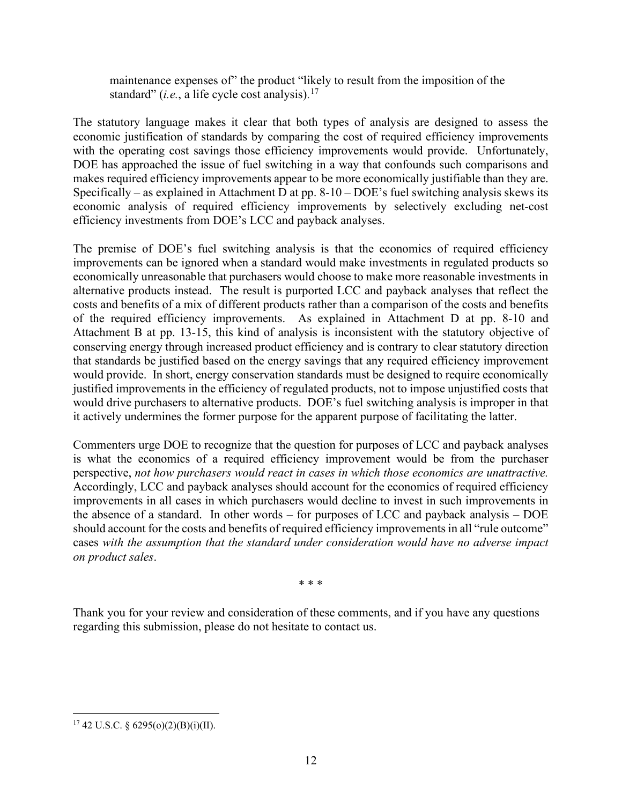maintenance expenses of" the product "likely to result from the imposition of the standard" (*i.e.*, a life cycle cost analysis). [17](#page-11-0)

The statutory language makes it clear that both types of analysis are designed to assess the economic justification of standards by comparing the cost of required efficiency improvements with the operating cost savings those efficiency improvements would provide. Unfortunately, DOE has approached the issue of fuel switching in a way that confounds such comparisons and makes required efficiency improvements appear to be more economically justifiable than they are. Specifically – as explained in Attachment D at pp. 8-10 – DOE's fuel switching analysis skews its economic analysis of required efficiency improvements by selectively excluding net-cost efficiency investments from DOE's LCC and payback analyses.

The premise of DOE's fuel switching analysis is that the economics of required efficiency improvements can be ignored when a standard would make investments in regulated products so economically unreasonable that purchasers would choose to make more reasonable investments in alternative products instead. The result is purported LCC and payback analyses that reflect the costs and benefits of a mix of different products rather than a comparison of the costs and benefits of the required efficiency improvements. As explained in Attachment D at pp. 8-10 and Attachment B at pp. 13-15, this kind of analysis is inconsistent with the statutory objective of conserving energy through increased product efficiency and is contrary to clear statutory direction that standards be justified based on the energy savings that any required efficiency improvement would provide. In short, energy conservation standards must be designed to require economically justified improvements in the efficiency of regulated products, not to impose unjustified costs that would drive purchasers to alternative products. DOE's fuel switching analysis is improper in that it actively undermines the former purpose for the apparent purpose of facilitating the latter.

Commenters urge DOE to recognize that the question for purposes of LCC and payback analyses is what the economics of a required efficiency improvement would be from the purchaser perspective, *not how purchasers would react in cases in which those economics are unattractive.*  Accordingly, LCC and payback analyses should account for the economics of required efficiency improvements in all cases in which purchasers would decline to invest in such improvements in the absence of a standard. In other words – for purposes of LCC and payback analysis – DOE should account for the costs and benefits of required efficiency improvements in all "rule outcome" cases *with the assumption that the standard under consideration would have no adverse impact on product sales*.

\* \* \*

Thank you for your review and consideration of these comments, and if you have any questions regarding this submission, please do not hesitate to contact us.

<span id="page-11-0"></span> $17$  42 U.S.C. § 6295(o)(2)(B)(i)(II).